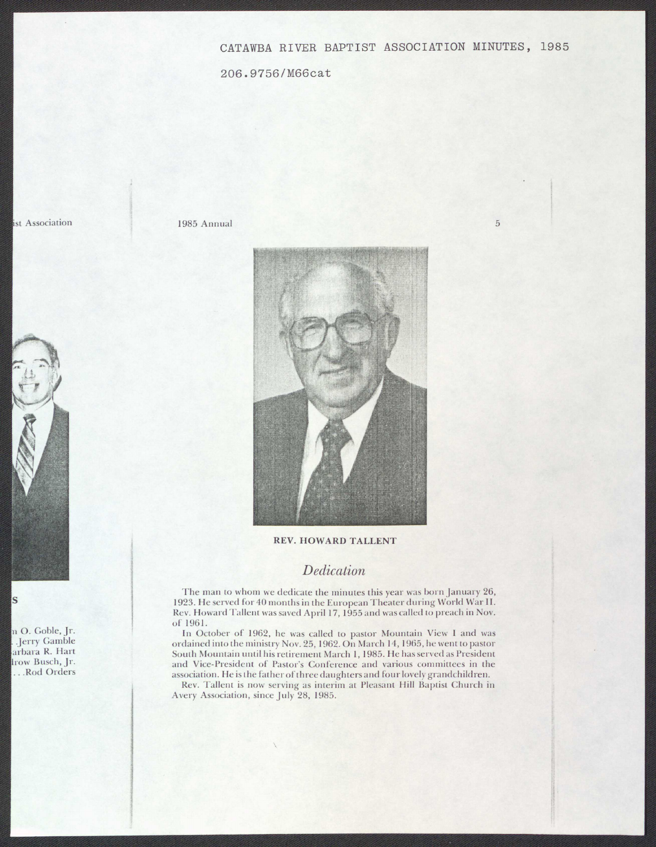## CATAWBA RIVER BAPTIST ASSOCIATION MINUTES, 1985

206.9756/M66cat

ist Association

1985 Annual 5



## **REV. HOWARD TALLENT**

## *Dedication*

The man to whom we dedicate the minutes this year was born January 26, 1923. He served for 40 months in the European Theater during World War II. Rev. Howard Tallent was saved April 17, 1955 and was called to preach in Nov. of 1961.

In October of 1962, he was called to pastor Mountain View I and was ordained into the ministry Nov. 25, 1962. On March 14, 1965, he went to pastor South Mountain until his retirement March I, 1985. He has served as President and Vice-President of Pastor's Conference and various committees in the association. He is the father of three daughters and four lovely grandchildren.

Rev. Tallent is now serving as interim at Pleasant Hill Baptist Church in Avery Association, since July 28, 1985.



**s** 

n O. Goble, Jr. . .Jerry Gamble arbara R. Hart lrow Busch, Jr. ... Rod Orders